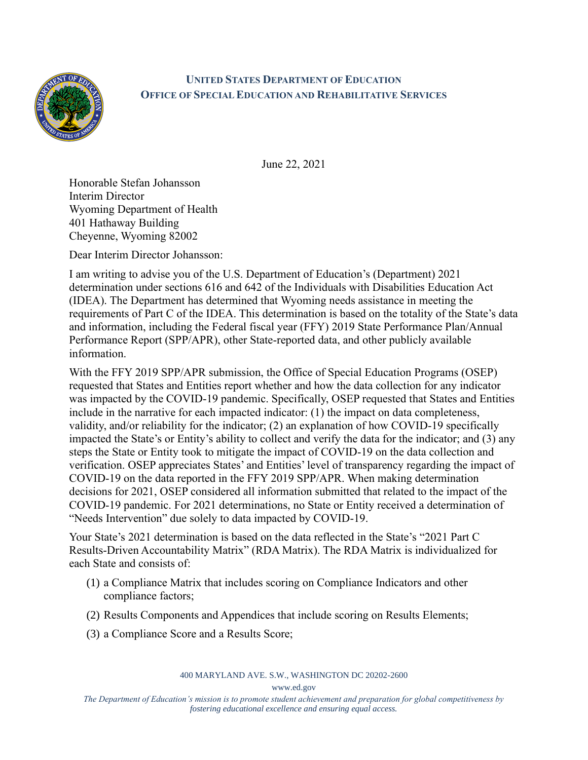

## **UNITED STATES DEPARTMENT OF EDUCATION OFFICE OF SPECIAL EDUCATION AND REHABILITATIVE SERVICES**

June 22, 2021

Honorable Stefan Johansson Interim Director Wyoming Department of Health 401 Hathaway Building Cheyenne, Wyoming 82002

Dear Interim Director Johansson:

I am writing to advise you of the U.S. Department of Education's (Department) 2021 determination under sections 616 and 642 of the Individuals with Disabilities Education Act (IDEA). The Department has determined that Wyoming needs assistance in meeting the requirements of Part C of the IDEA. This determination is based on the totality of the State's data and information, including the Federal fiscal year (FFY) 2019 State Performance Plan/Annual Performance Report (SPP/APR), other State-reported data, and other publicly available information.

With the FFY 2019 SPP/APR submission, the Office of Special Education Programs (OSEP) requested that States and Entities report whether and how the data collection for any indicator was impacted by the COVID-19 pandemic. Specifically, OSEP requested that States and Entities include in the narrative for each impacted indicator: (1) the impact on data completeness, validity, and/or reliability for the indicator; (2) an explanation of how COVID-19 specifically impacted the State's or Entity's ability to collect and verify the data for the indicator; and (3) any steps the State or Entity took to mitigate the impact of COVID-19 on the data collection and verification. OSEP appreciates States' and Entities' level of transparency regarding the impact of COVID-19 on the data reported in the FFY 2019 SPP/APR. When making determination decisions for 2021, OSEP considered all information submitted that related to the impact of the COVID-19 pandemic. For 2021 determinations, no State or Entity received a determination of "Needs Intervention" due solely to data impacted by COVID-19.

Your State's 2021 determination is based on the data reflected in the State's "2021 Part C Results-Driven Accountability Matrix" (RDA Matrix). The RDA Matrix is individualized for each State and consists of:

- (1) a Compliance Matrix that includes scoring on Compliance Indicators and other compliance factors;
- (2) Results Components and Appendices that include scoring on Results Elements;
- (3) a Compliance Score and a Results Score;

400 MARYLAND AVE. S.W., WASHINGTON DC 20202-2600

www.ed.gov

*The Department of Education's mission is to promote student achievement and preparation for global competitiveness by fostering educational excellence and ensuring equal access.*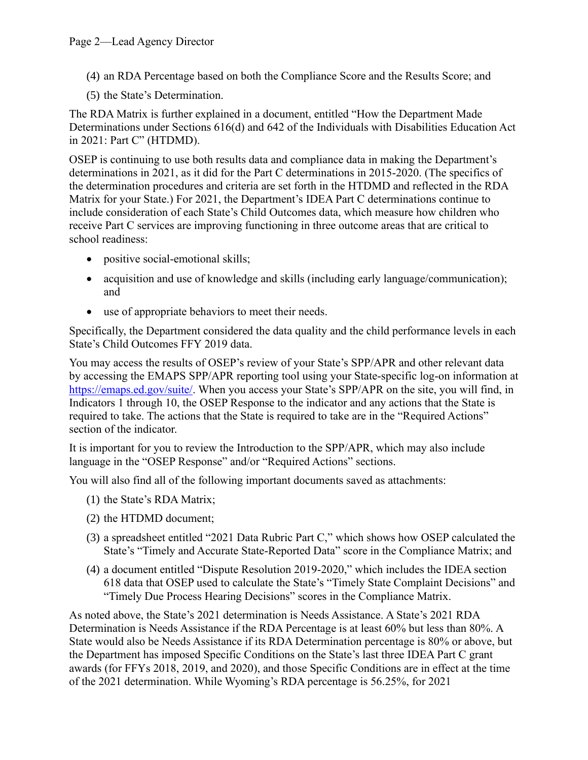(4) an RDA Percentage based on both the Compliance Score and the Results Score; and

(5) the State's Determination.

The RDA Matrix is further explained in a document, entitled "How the Department Made Determinations under Sections 616(d) and 642 of the Individuals with Disabilities Education Act in 2021: Part C" (HTDMD).

OSEP is continuing to use both results data and compliance data in making the Department's determinations in 2021, as it did for the Part C determinations in 2015-2020. (The specifics of the determination procedures and criteria are set forth in the HTDMD and reflected in the RDA Matrix for your State.) For 2021, the Department's IDEA Part C determinations continue to include consideration of each State's Child Outcomes data, which measure how children who receive Part C services are improving functioning in three outcome areas that are critical to school readiness:

- positive social-emotional skills;
- acquisition and use of knowledge and skills (including early language/communication); and
- use of appropriate behaviors to meet their needs.

Specifically, the Department considered the data quality and the child performance levels in each State's Child Outcomes FFY 2019 data.

You may access the results of OSEP's review of your State's SPP/APR and other relevant data by accessing the EMAPS SPP/APR reporting tool using your State-specific log-on information at [https://emaps.ed.gov/suite/.](https://emaps.ed.gov/suite/) When you access your State's SPP/APR on the site, you will find, in Indicators 1 through 10, the OSEP Response to the indicator and any actions that the State is required to take. The actions that the State is required to take are in the "Required Actions" section of the indicator.

It is important for you to review the Introduction to the SPP/APR, which may also include language in the "OSEP Response" and/or "Required Actions" sections.

You will also find all of the following important documents saved as attachments:

- (1) the State's RDA Matrix;
- (2) the HTDMD document;
- (3) a spreadsheet entitled "2021 Data Rubric Part C," which shows how OSEP calculated the State's "Timely and Accurate State-Reported Data" score in the Compliance Matrix; and
- (4) a document entitled "Dispute Resolution 2019-2020," which includes the IDEA section 618 data that OSEP used to calculate the State's "Timely State Complaint Decisions" and "Timely Due Process Hearing Decisions" scores in the Compliance Matrix.

As noted above, the State's 2021 determination is Needs Assistance. A State's 2021 RDA Determination is Needs Assistance if the RDA Percentage is at least 60% but less than 80%. A State would also be Needs Assistance if its RDA Determination percentage is 80% or above, but the Department has imposed Specific Conditions on the State's last three IDEA Part C grant awards (for FFYs 2018, 2019, and 2020), and those Specific Conditions are in effect at the time of the 2021 determination. While Wyoming's RDA percentage is 56.25%, for 2021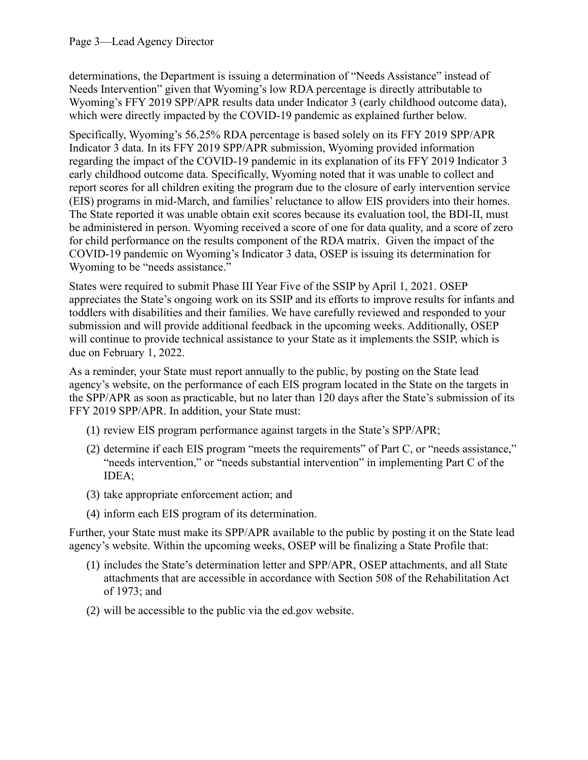determinations, the Department is issuing a determination of "Needs Assistance" instead of Needs Intervention" given that Wyoming's low RDA percentage is directly attributable to Wyoming's FFY 2019 SPP/APR results data under Indicator 3 (early childhood outcome data), which were directly impacted by the COVID-19 pandemic as explained further below.

Specifically, Wyoming's 56.25% RDA percentage is based solely on its FFY 2019 SPP/APR Indicator 3 data. In its FFY 2019 SPP/APR submission, Wyoming provided information regarding the impact of the COVID-19 pandemic in its explanation of its FFY 2019 Indicator 3 early childhood outcome data. Specifically, Wyoming noted that it was unable to collect and report scores for all children exiting the program due to the closure of early intervention service (EIS) programs in mid-March, and families' reluctance to allow EIS providers into their homes. The State reported it was unable obtain exit scores because its evaluation tool, the BDI-II, must be administered in person. Wyoming received a score of one for data quality, and a score of zero for child performance on the results component of the RDA matrix. Given the impact of the COVID-19 pandemic on Wyoming's Indicator 3 data, OSEP is issuing its determination for Wyoming to be "needs assistance."

States were required to submit Phase III Year Five of the SSIP by April 1, 2021. OSEP appreciates the State's ongoing work on its SSIP and its efforts to improve results for infants and toddlers with disabilities and their families. We have carefully reviewed and responded to your submission and will provide additional feedback in the upcoming weeks. Additionally, OSEP will continue to provide technical assistance to your State as it implements the SSIP, which is due on February 1, 2022.

As a reminder, your State must report annually to the public, by posting on the State lead agency's website, on the performance of each EIS program located in the State on the targets in the SPP/APR as soon as practicable, but no later than 120 days after the State's submission of its FFY 2019 SPP/APR. In addition, your State must:

- (1) review EIS program performance against targets in the State's SPP/APR;
- (2) determine if each EIS program "meets the requirements" of Part C, or "needs assistance," "needs intervention," or "needs substantial intervention" in implementing Part C of the IDEA;
- (3) take appropriate enforcement action; and
- (4) inform each EIS program of its determination.

Further, your State must make its SPP/APR available to the public by posting it on the State lead agency's website. Within the upcoming weeks, OSEP will be finalizing a State Profile that:

- (1) includes the State's determination letter and SPP/APR, OSEP attachments, and all State attachments that are accessible in accordance with Section 508 of the Rehabilitation Act of 1973; and
- (2) will be accessible to the public via the ed.gov website.